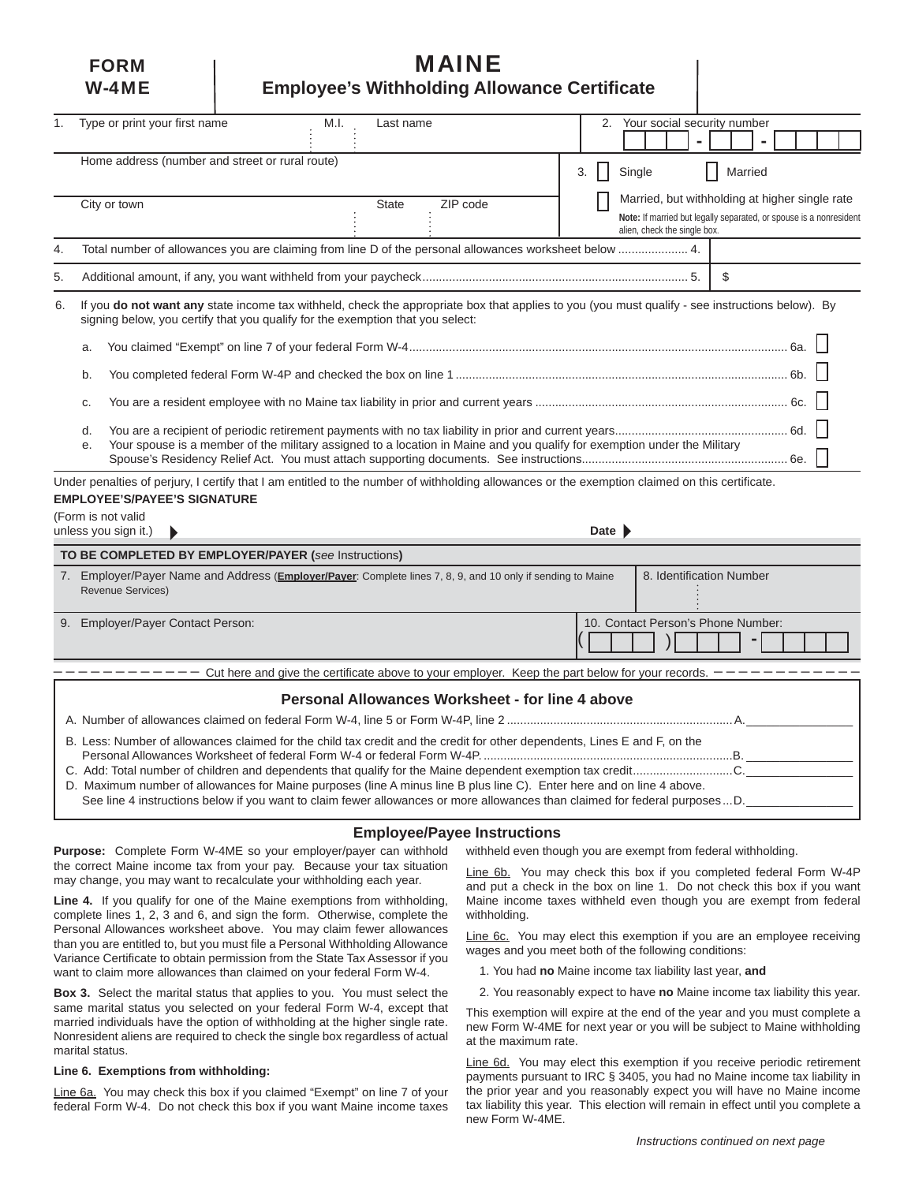# **FORM I MAINE** W-4ME **Employee's Withholding Allowance Certifi cate**

| 1.                                                                                                                       | Type or print your first name                                                                                                                                                                                                                                                                                                                                                      | M.I.<br>Last name                                                                                                                              | 2. | Your social security number                                                                        |         |  |  |
|--------------------------------------------------------------------------------------------------------------------------|------------------------------------------------------------------------------------------------------------------------------------------------------------------------------------------------------------------------------------------------------------------------------------------------------------------------------------------------------------------------------------|------------------------------------------------------------------------------------------------------------------------------------------------|----|----------------------------------------------------------------------------------------------------|---------|--|--|
|                                                                                                                          |                                                                                                                                                                                                                                                                                                                                                                                    |                                                                                                                                                |    |                                                                                                    |         |  |  |
|                                                                                                                          | Home address (number and street or rural route)                                                                                                                                                                                                                                                                                                                                    |                                                                                                                                                | 3. | Single                                                                                             | Married |  |  |
|                                                                                                                          | City or town                                                                                                                                                                                                                                                                                                                                                                       | ZIP code<br><b>State</b>                                                                                                                       |    | Married, but withholding at higher single rate                                                     |         |  |  |
|                                                                                                                          |                                                                                                                                                                                                                                                                                                                                                                                    |                                                                                                                                                |    | Note: If married but legally separated, or spouse is a nonresident<br>alien, check the single box. |         |  |  |
| 4.                                                                                                                       | Total number of allowances you are claiming from line D of the personal allowances worksheet below  4.                                                                                                                                                                                                                                                                             |                                                                                                                                                |    |                                                                                                    |         |  |  |
| 5.                                                                                                                       |                                                                                                                                                                                                                                                                                                                                                                                    |                                                                                                                                                |    |                                                                                                    | \$      |  |  |
| 6.                                                                                                                       | If you do not want any state income tax withheld, check the appropriate box that applies to you (you must qualify - see instructions below). By<br>signing below, you certify that you qualify for the exemption that you select:                                                                                                                                                  |                                                                                                                                                |    |                                                                                                    |         |  |  |
| a.                                                                                                                       |                                                                                                                                                                                                                                                                                                                                                                                    |                                                                                                                                                |    |                                                                                                    |         |  |  |
|                                                                                                                          | b.                                                                                                                                                                                                                                                                                                                                                                                 |                                                                                                                                                |    |                                                                                                    |         |  |  |
|                                                                                                                          | C.                                                                                                                                                                                                                                                                                                                                                                                 |                                                                                                                                                |    |                                                                                                    |         |  |  |
|                                                                                                                          | d.<br>е.                                                                                                                                                                                                                                                                                                                                                                           | Your spouse is a member of the military assigned to a location in Maine and you qualify for exemption under the Military                       |    |                                                                                                    |         |  |  |
|                                                                                                                          |                                                                                                                                                                                                                                                                                                                                                                                    | Under penalties of perjury, I certify that I am entitled to the number of withholding allowances or the exemption claimed on this certificate. |    |                                                                                                    |         |  |  |
|                                                                                                                          | <b>EMPLOYEE'S/PAYEE'S SIGNATURE</b>                                                                                                                                                                                                                                                                                                                                                |                                                                                                                                                |    |                                                                                                    |         |  |  |
| (Form is not valid<br>Date $\blacktriangleright$<br>unless you sign it.)                                                 |                                                                                                                                                                                                                                                                                                                                                                                    |                                                                                                                                                |    |                                                                                                    |         |  |  |
|                                                                                                                          | TO BE COMPLETED BY EMPLOYER/PAYER (see Instructions)                                                                                                                                                                                                                                                                                                                               |                                                                                                                                                |    |                                                                                                    |         |  |  |
|                                                                                                                          | <b>Revenue Services)</b>                                                                                                                                                                                                                                                                                                                                                           | 7. Employer/Payer Name and Address (Employer/Payer: Complete lines 7, 8, 9, and 10 only if sending to Maine                                    |    | 8. Identification Number                                                                           |         |  |  |
|                                                                                                                          | 9. Employer/Payer Contact Person:                                                                                                                                                                                                                                                                                                                                                  |                                                                                                                                                |    | 10. Contact Person's Phone Number:                                                                 |         |  |  |
| Cut here and give the certificate above to your employer. Keep the part below for your records. $\overline{\phantom{a}}$ |                                                                                                                                                                                                                                                                                                                                                                                    |                                                                                                                                                |    |                                                                                                    |         |  |  |
|                                                                                                                          |                                                                                                                                                                                                                                                                                                                                                                                    | Personal Allowances Worksheet - for line 4 above                                                                                               |    |                                                                                                    |         |  |  |
|                                                                                                                          |                                                                                                                                                                                                                                                                                                                                                                                    |                                                                                                                                                |    |                                                                                                    |         |  |  |
|                                                                                                                          | B. Less: Number of allowances claimed for the child tax credit and the credit for other dependents, Lines E and F, on the<br>D. Maximum number of allowances for Maine purposes (line A minus line B plus line C). Enter here and on line 4 above.<br>See line 4 instructions below if you want to claim fewer allowances or more allowances than claimed for federal purposes  D. |                                                                                                                                                |    |                                                                                                    |         |  |  |
|                                                                                                                          |                                                                                                                                                                                                                                                                                                                                                                                    |                                                                                                                                                |    |                                                                                                    |         |  |  |

#### **Employee/Payee Instructions**

**Purpose:** Complete Form W-4ME so your employer/payer can withhold the correct Maine income tax from your pay. Because your tax situation may change, you may want to recalculate your withholding each year.

**Line 4.** If you qualify for one of the Maine exemptions from withholding, complete lines 1, 2, 3 and 6, and sign the form. Otherwise, complete the Personal Allowances worksheet above. You may claim fewer allowances than you are entitled to, but you must file a Personal Withholding Allowance Variance Certificate to obtain permission from the State Tax Assessor if you want to claim more allowances than claimed on your federal Form W-4.

**Box 3.** Select the marital status that applies to you. You must select the same marital status you selected on your federal Form W-4, except that married individuals have the option of withholding at the higher single rate. Nonresident aliens are required to check the single box regardless of actual marital status.

#### **Line 6. Exemptions from withholding:**

Line 6a. You may check this box if you claimed "Exempt" on line 7 of your federal Form W-4. Do not check this box if you want Maine income taxes

withheld even though you are exempt from federal withholding.

Line 6b. You may check this box if you completed federal Form W-4P and put a check in the box on line 1. Do not check this box if you want Maine income taxes withheld even though you are exempt from federal withholding.

Line 6c. You may elect this exemption if you are an employee receiving wages and you meet both of the following conditions:

- 1. You had **no** Maine income tax liability last year, **and**
- 2. You reasonably expect to have **no** Maine income tax liability this year.

This exemption will expire at the end of the year and you must complete a new Form W-4ME for next year or you will be subject to Maine withholding at the maximum rate.

Line 6d. You may elect this exemption if you receive periodic retirement payments pursuant to IRC § 3405, you had no Maine income tax liability in the prior year and you reasonably expect you will have no Maine income tax liability this year. This election will remain in effect until you complete a new Form W-4ME.